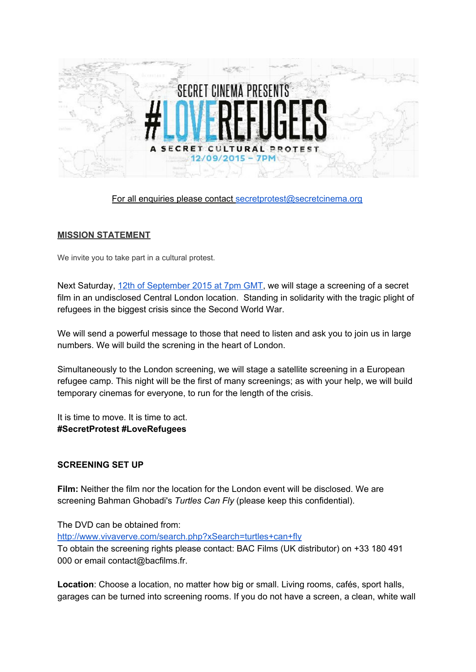

For all enquiries please contact [secretprotest@secretcinema.org](mailto:secretprotest@secretcinema.org)

## **MISSION STATEMENT**

We invite you to take part in a cultural protest.

Next Saturday, 12th of [September](https://www.facebook.com/events/934247759945193/) 2015 at 7pm GMT, we will stage a screening of a secret film in an undisclosed Central London location. Standing in solidarity with the tragic plight of refugees in the biggest crisis since the Second World War.

We will send a powerful message to those that need to listen and ask you to join us in large numbers. We will build the screning in the heart of London.

Simultaneously to the London screening, we will stage a satellite screening in a European refugee camp. This night will be the first of many screenings; as with your help, we will build temporary cinemas for everyone, to run for the length of the crisis.

It is time to move. It is time to act. **#SecretProtest #LoveRefugees**

## **SCREENING SET UP**

**Film:**Neither the film nor the location for the London event will be disclosed. We are screening Bahman Ghobadi's *Turtles Can Fly* (please keep this confidential).

The DVD can be obtained from:

<http://www.vivaverve.com/search.php?xSearch=turtles+can+fly>

To obtain the screening rights please contact: BAC Films (UK distributor) on +33 180 491 000 or email contact@bacfilms.fr.

**Location**: Choose a location, no matter how big or small. Living rooms, cafés, sport halls, garages can be turned into screening rooms. If you do not have a screen, a clean, white wall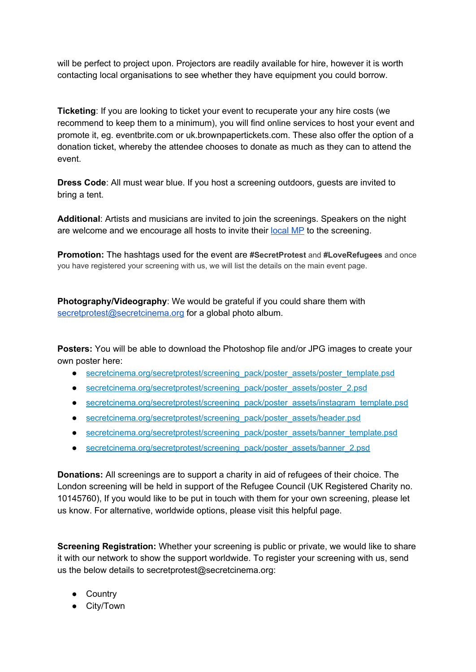will be perfect to project upon. Projectors are readily available for hire, however it is worth contacting local organisations to see whether they have equipment you could borrow.

**Ticketing**: If you are looking to ticket your event to recuperate your any hire costs (we recommend to keep them to a minimum), you will find online services to host your event and promote it, eg. eventbrite.com or uk.brownpapertickets.com. These also offer the option of a donation ticket, whereby the attendee chooses to donate as much as they can to attend the event.

**Dress Code**: All must wear blue. If you host a screening outdoors, guests are invited to bring a tent.

**Additional**: Artists and musicians are invited to join the screenings. Speakers on the night are welcome and we encourage all hosts to invite their [local](http://www.parliament.uk/mps-lords-and-offices/mps/) MP to the screening.

**Promotion:** The hashtags used for the event are **#SecretProtest** and **#LoveRefugees** and once you have registered your screening with us, we will list the details on the main event page.

**Photography/Videography:** We would be grateful if you could share them with [secretprotest@secretcinema.org](mailto:secretprotest@secretcinema.org) for a global photo album.

**Posters:** You will be able to download the Photoshop file and/or JPG images to create your own poster here:

- [secretcinema.org/secretprotest/screening\\_pack/poster\\_assets/poster\\_template.psd](http://secretcinema.org/secretprotest/screening_pack/poster_assets/poster_template.psd)
- [secretcinema.org/secretprotest/screening\\_pack/poster\\_assets/poster\\_2.psd](http://secretcinema.org/secretprotest/screening_pack/poster_assets/poster_2.psd)
- [secretcinema.org/secretprotest/screening\\_pack/poster\\_assets/instagram\\_template.psd](http://secretcinema.org/secretprotest/screening_pack/poster_assets/instagram_template.psd)
- [secretcinema.org/secretprotest/screening\\_pack/poster\\_assets/header.psd](http://secretcinema.org/secretprotest/screening_pack/poster_assets/header.psd)
- [secretcinema.org/secretprotest/screening\\_pack/poster\\_assets/banner\\_template.psd](http://secretcinema.org/secretprotest/screening_pack/poster_assets/banner_template.psd)
- [secretcinema.org/secretprotest/screening\\_pack/poster\\_assets/banner\\_2.psd](http://secretcinema.org/secretprotest/screening_pack/poster_assets/banner_2.psd)

**Donations:**All screenings are to support a charity in aid of refugees of their choice. The London screening will be held in support of the [Refugee](http://refugeecouncil.org.uk/) Council (UK Registered Charity no. 10145760), If you would like to be put in touch with them for your own screening, please let us know. For alternative, worldwide options, please visit this [helpful](http://www.unhcr.org.uk/what-we-do-in-the-uk/protecting-refugees-in-the-uk/useful-links.html) page.

**Screening Registration:** Whether your screening is public or private, we would like to share it with our network to show the support worldwide. To register your screening with us, send us the below details to secretprotest@secretcinema.org:

- Country
- City/Town